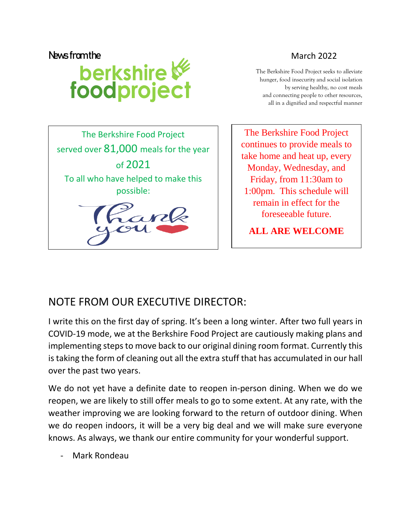News from the<br> **Narch 2022**<br> **Narch 2022**<br>
The Berkshire Food Project seeks the<br>
March 2022<br>
The Berkshire Food Project seeks the<br>
hunger, food insecurity and social<br>
by serving healthy, no<br>
and connecting people to other The Berkshire Food Project seeks to alleviate hunger, food insecurity and social isolation by serving healthy, no cost meals and connecting people to other resources, all in a dignified and respectful manner



The Berkshire Food Project continues to provide meals to take home and heat up, every Monday, Wednesday, and Friday, from 11:30am to 1:00pm. This schedule will remain in effect for the foreseeable future.

**ALL ARE WELCOME**

## NOTE FROM OUR EXECUTIVE DIRECTOR:

I write this on the first day of spring. It's been a long winter. After two full years in COVID-19 mode, we at the Berkshire Food Project are cautiously making plans and implementing steps to move back to our original dining room format. Currently this is taking the form of cleaning out all the extra stuff that has accumulated in our hall over the past two years.

We do not yet have a definite date to reopen in-person dining. When we do we reopen, we are likely to still offer meals to go to some extent. At any rate, with the weather improving we are looking forward to the return of outdoor dining. When we do reopen indoors, it will be a very big deal and we will make sure everyone knows. As always, we thank our entire community for your wonderful support.

Mark Rondeau